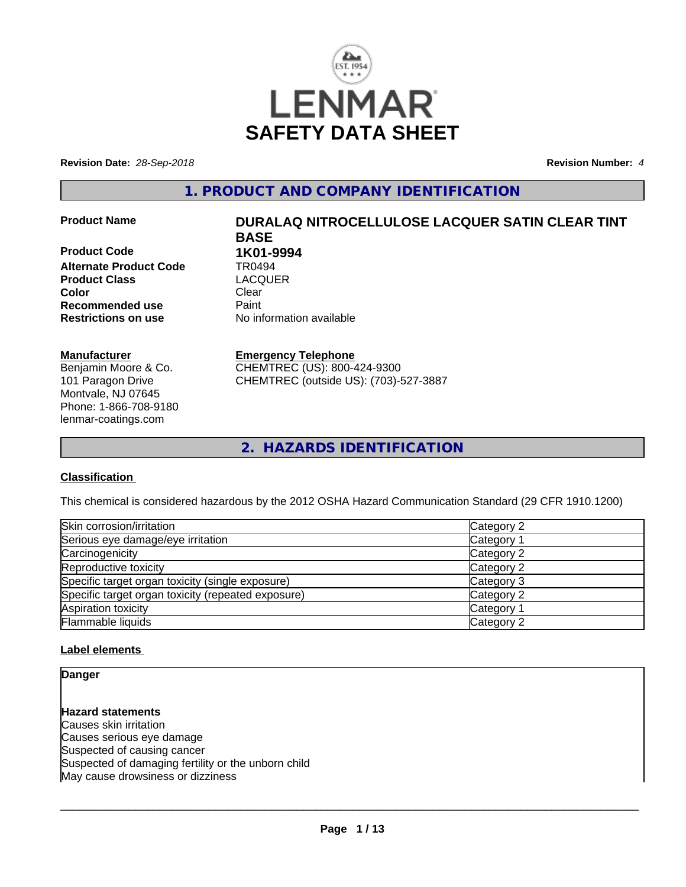

**Revision Date:** *28-Sep-2018* **Revision Number:** *4*

**1. PRODUCT AND COMPANY IDENTIFICATION**

**Product Code 1K01-9994**<br>Alternate Product Code 1R0494 **Alternate Product Code TR0494<br>
<b>Product Class** LACQUER **Product Class Color** Clear Clear **Recommended use** Paint<br> **Restrictions on use** Mo information available **Restrictions on use** 

#### **Manufacturer**

Benjamin Moore & Co. 101 Paragon Drive Montvale, NJ 07645 Phone: 1-866-708-9180 lenmar-coatings.com

# **Product Name DURALAQ NITROCELLULOSE LACQUER SATIN CLEAR TINT BASE**

#### **Emergency Telephone**

CHEMTREC (US): 800-424-9300 CHEMTREC (outside US): (703)-527-3887

**2. HAZARDS IDENTIFICATION**

#### **Classification**

This chemical is considered hazardous by the 2012 OSHA Hazard Communication Standard (29 CFR 1910.1200)

| Skin corrosion/irritation                          | Category 2 |
|----------------------------------------------------|------------|
| Serious eye damage/eye irritation                  | Category 1 |
| Carcinogenicity                                    | Category 2 |
| Reproductive toxicity                              | Category 2 |
| Specific target organ toxicity (single exposure)   | Category 3 |
| Specific target organ toxicity (repeated exposure) | Category 2 |
| Aspiration toxicity                                | Category 1 |
| Flammable liquids                                  | Category 2 |

#### **Label elements**

**Danger**

**Hazard statements** Causes skin irritation Causes serious eye damage Suspected of causing cancer Suspected of damaging fertility or the unborn child May cause drowsiness or dizziness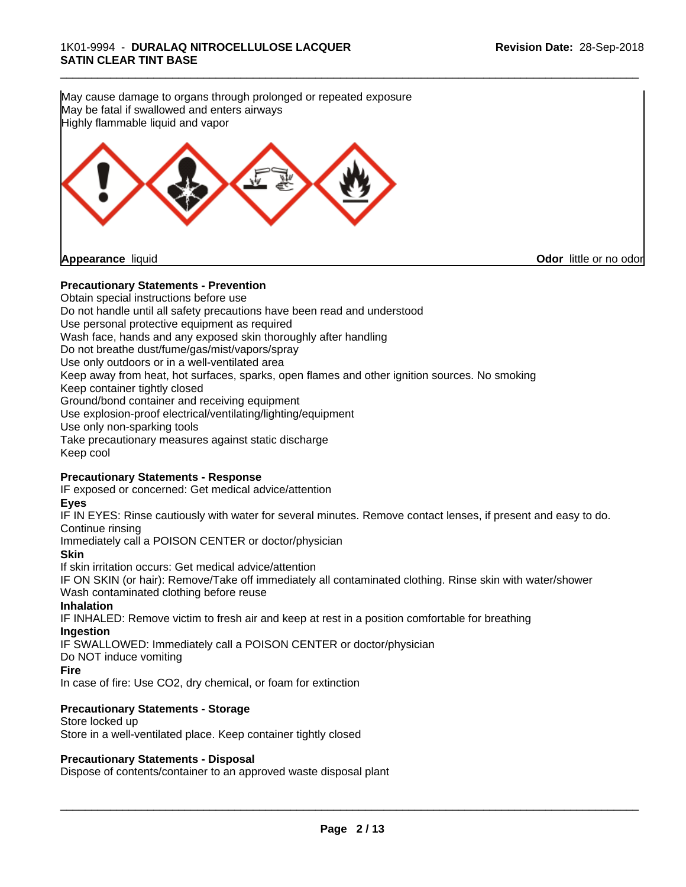**Precautionary Statements - Prevention** Obtain special instructions before use May cause damage to organs through prolonged or repeated exposure May be fatal if swallowed and enters airways Highly flammable liquid and vapor **Appearance** liquid **Odor** little or no odor

\_\_\_\_\_\_\_\_\_\_\_\_\_\_\_\_\_\_\_\_\_\_\_\_\_\_\_\_\_\_\_\_\_\_\_\_\_\_\_\_\_\_\_\_\_\_\_\_\_\_\_\_\_\_\_\_\_\_\_\_\_\_\_\_\_\_\_\_\_\_\_\_\_\_\_\_\_\_\_\_\_\_\_\_\_\_\_\_\_\_\_\_\_

Do not handle until all safety precautions have been read and understood Use personal protective equipment as required Wash face, hands and any exposed skin thoroughly after handling Do not breathe dust/fume/gas/mist/vapors/spray Use only outdoors or in a well-ventilated area Keep away from heat, hot surfaces, sparks, open flames and other ignition sources. No smoking Keep container tightly closed Ground/bond container and receiving equipment Use explosion-proof electrical/ventilating/lighting/equipment Use only non-sparking tools Take precautionary measures against static discharge Keep cool

#### **Precautionary Statements - Response**

IF exposed or concerned: Get medical advice/attention

#### **Eyes**

IF IN EYES: Rinse cautiously with water for several minutes. Remove contact lenses, if present and easy to do. Continue rinsing

Immediately call a POISON CENTER or doctor/physician

**Skin**

If skin irritation occurs: Get medical advice/attention IF ON SKIN (or hair): Remove/Take off immediately all contaminated clothing. Rinse skin with water/shower Wash contaminated clothing before reuse

#### **Inhalation**

IF INHALED: Remove victim to fresh air and keep at rest in a position comfortable for breathing **Ingestion**

IF SWALLOWED: Immediately call a POISON CENTER or doctor/physician

Do NOT induce vomiting

#### **Fire**

In case of fire: Use CO2, dry chemical, or foam for extinction

#### **Precautionary Statements - Storage**

Store locked up Store in a well-ventilated place. Keep container tightly closed

#### **Precautionary Statements - Disposal**

Dispose of contents/container to an approved waste disposal plant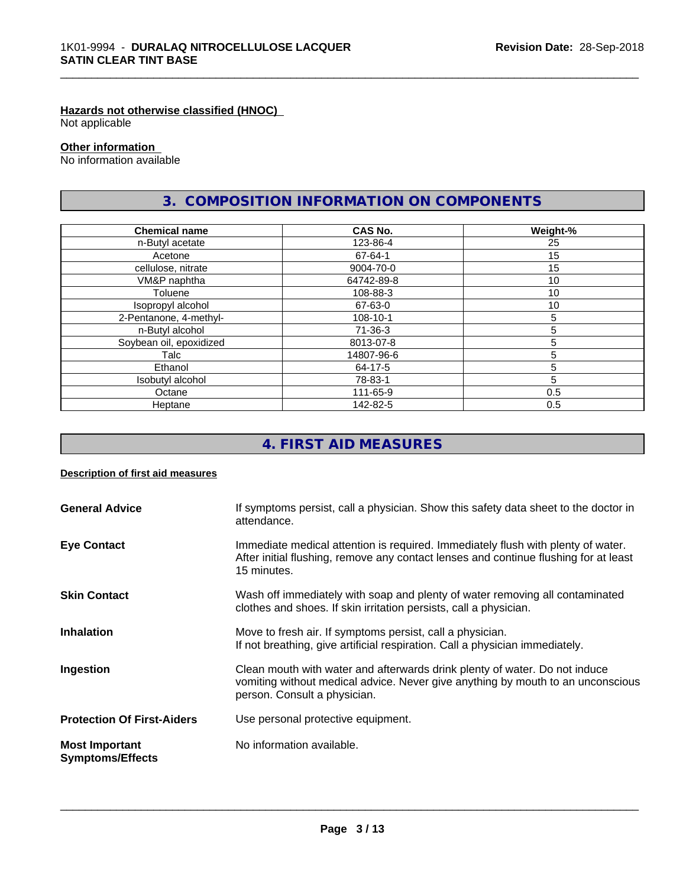#### **Hazards not otherwise classified (HNOC)**

Not applicable

#### **Other information**

No information available

# **3. COMPOSITION INFORMATION ON COMPONENTS**

\_\_\_\_\_\_\_\_\_\_\_\_\_\_\_\_\_\_\_\_\_\_\_\_\_\_\_\_\_\_\_\_\_\_\_\_\_\_\_\_\_\_\_\_\_\_\_\_\_\_\_\_\_\_\_\_\_\_\_\_\_\_\_\_\_\_\_\_\_\_\_\_\_\_\_\_\_\_\_\_\_\_\_\_\_\_\_\_\_\_\_\_\_

| <b>Chemical name</b>    | <b>CAS No.</b> | Weight-%        |
|-------------------------|----------------|-----------------|
| n-Butyl acetate         | 123-86-4       | 25              |
| Acetone                 | 67-64-1        | 15              |
| cellulose, nitrate      | 9004-70-0      | 15              |
| VM&P naphtha            | 64742-89-8     | 10              |
| Toluene                 | 108-88-3       | 10 <sup>°</sup> |
| Isopropyl alcohol       | 67-63-0        | 10              |
| 2-Pentanone, 4-methyl-  | 108-10-1       | 5               |
| n-Butyl alcohol         | 71-36-3        | 5               |
| Soybean oil, epoxidized | 8013-07-8      | 5               |
| Talc                    | 14807-96-6     |                 |
| Ethanol                 | 64-17-5        | 5               |
| Isobutyl alcohol        | 78-83-1        | 5               |
| Octane                  | 111-65-9       | 0.5             |
| Heptane                 | 142-82-5       | 0.5             |

# **4. FIRST AID MEASURES**

#### **Description of first aid measures**

| <b>General Advice</b>                            | If symptoms persist, call a physician. Show this safety data sheet to the doctor in<br>attendance.                                                                                            |
|--------------------------------------------------|-----------------------------------------------------------------------------------------------------------------------------------------------------------------------------------------------|
| <b>Eye Contact</b>                               | Immediate medical attention is required. Immediately flush with plenty of water.<br>After initial flushing, remove any contact lenses and continue flushing for at least<br>15 minutes.       |
| <b>Skin Contact</b>                              | Wash off immediately with soap and plenty of water removing all contaminated<br>clothes and shoes. If skin irritation persists, call a physician.                                             |
| <b>Inhalation</b>                                | Move to fresh air. If symptoms persist, call a physician.<br>If not breathing, give artificial respiration. Call a physician immediately.                                                     |
| Ingestion                                        | Clean mouth with water and afterwards drink plenty of water. Do not induce<br>vomiting without medical advice. Never give anything by mouth to an unconscious<br>person. Consult a physician. |
| <b>Protection Of First-Aiders</b>                | Use personal protective equipment.                                                                                                                                                            |
| <b>Most Important</b><br><b>Symptoms/Effects</b> | No information available.                                                                                                                                                                     |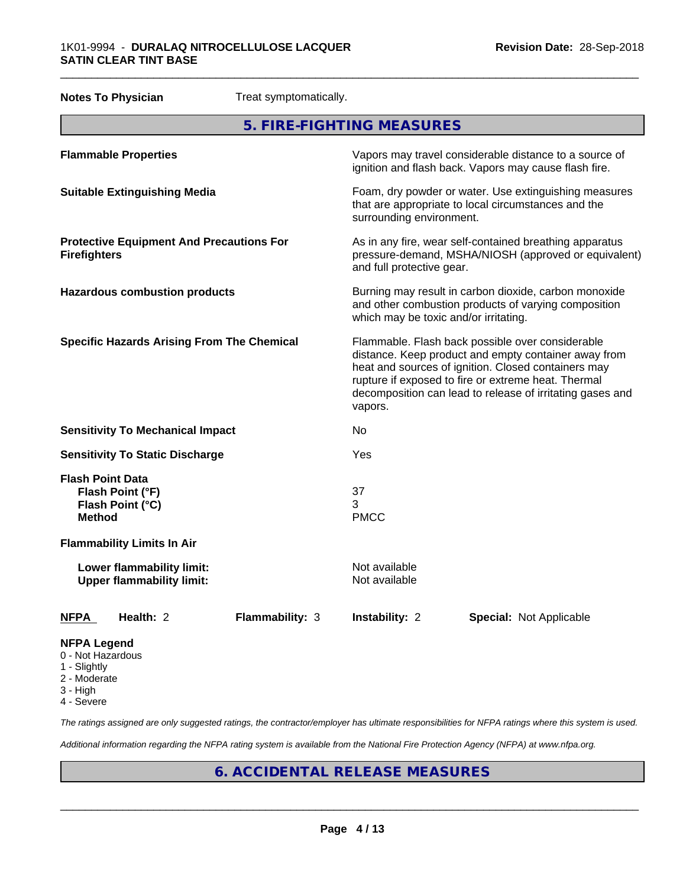| <b>Notes To Physician</b><br>Treat symptomatically. |                                                               |                 |                                                                                                                                                                                                                                                                                                |                                                                                                                                                        |  |
|-----------------------------------------------------|---------------------------------------------------------------|-----------------|------------------------------------------------------------------------------------------------------------------------------------------------------------------------------------------------------------------------------------------------------------------------------------------------|--------------------------------------------------------------------------------------------------------------------------------------------------------|--|
| 5. FIRE-FIGHTING MEASURES                           |                                                               |                 |                                                                                                                                                                                                                                                                                                |                                                                                                                                                        |  |
|                                                     | <b>Flammable Properties</b>                                   |                 |                                                                                                                                                                                                                                                                                                | Vapors may travel considerable distance to a source of<br>ignition and flash back. Vapors may cause flash fire.                                        |  |
|                                                     | <b>Suitable Extinguishing Media</b>                           |                 | surrounding environment.                                                                                                                                                                                                                                                                       | Foam, dry powder or water. Use extinguishing measures<br>that are appropriate to local circumstances and the                                           |  |
| <b>Firefighters</b>                                 | <b>Protective Equipment And Precautions For</b>               |                 |                                                                                                                                                                                                                                                                                                | As in any fire, wear self-contained breathing apparatus<br>pressure-demand, MSHA/NIOSH (approved or equivalent)<br>and full protective gear.           |  |
|                                                     | <b>Hazardous combustion products</b>                          |                 |                                                                                                                                                                                                                                                                                                | Burning may result in carbon dioxide, carbon monoxide<br>and other combustion products of varying composition<br>which may be toxic and/or irritating. |  |
|                                                     | <b>Specific Hazards Arising From The Chemical</b>             |                 | Flammable. Flash back possible over considerable<br>distance. Keep product and empty container away from<br>heat and sources of ignition. Closed containers may<br>rupture if exposed to fire or extreme heat. Thermal<br>decomposition can lead to release of irritating gases and<br>vapors. |                                                                                                                                                        |  |
|                                                     | <b>Sensitivity To Mechanical Impact</b>                       |                 | No                                                                                                                                                                                                                                                                                             |                                                                                                                                                        |  |
|                                                     | <b>Sensitivity To Static Discharge</b>                        |                 | Yes                                                                                                                                                                                                                                                                                            |                                                                                                                                                        |  |
| <b>Flash Point Data</b><br><b>Method</b>            | Flash Point (°F)<br>Flash Point (°C)                          |                 | 37<br>3<br><b>PMCC</b>                                                                                                                                                                                                                                                                         |                                                                                                                                                        |  |
|                                                     | <b>Flammability Limits In Air</b>                             |                 |                                                                                                                                                                                                                                                                                                |                                                                                                                                                        |  |
|                                                     | Lower flammability limit:<br><b>Upper flammability limit:</b> |                 | Not available<br>Not available                                                                                                                                                                                                                                                                 |                                                                                                                                                        |  |
| <b>NFPA</b>                                         | Health: 2                                                     | Flammability: 3 | Instability: 2                                                                                                                                                                                                                                                                                 | <b>Special: Not Applicable</b>                                                                                                                         |  |
| <b>NFPA Legend</b><br>0 - Not Hazardous             |                                                               |                 |                                                                                                                                                                                                                                                                                                |                                                                                                                                                        |  |

- 1 Slightly
- 2 Moderate
- 3 High
- 4 Severe

*The ratings assigned are only suggested ratings, the contractor/employer has ultimate responsibilities for NFPA ratings where this system is used.*

*Additional information regarding the NFPA rating system is available from the National Fire Protection Agency (NFPA) at www.nfpa.org.*

# **6. ACCIDENTAL RELEASE MEASURES**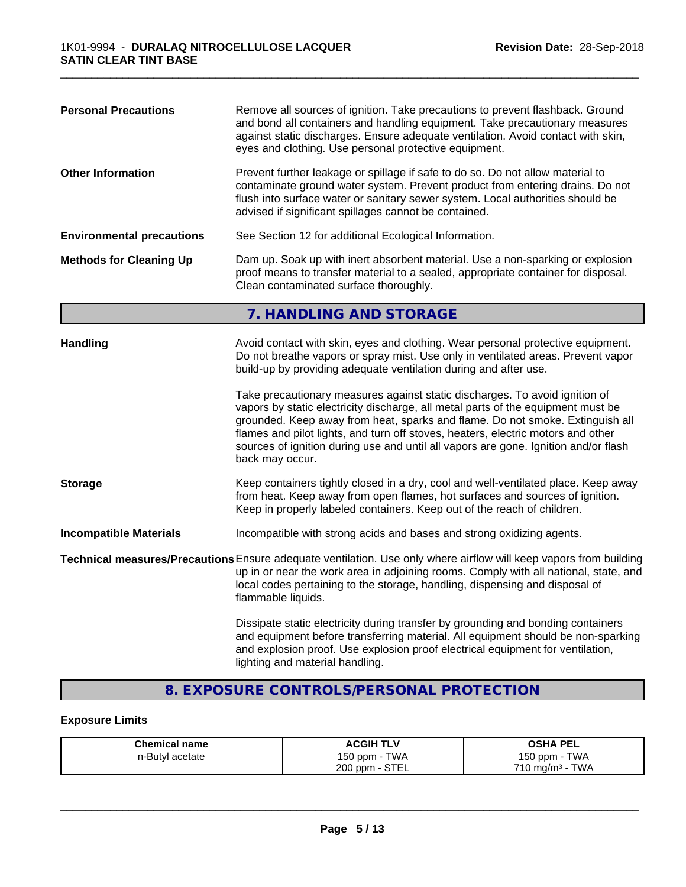| Remove all sources of ignition. Take precautions to prevent flashback. Ground<br><b>Personal Precautions</b><br>and bond all containers and handling equipment. Take precautionary measures<br>against static discharges. Ensure adequate ventilation. Avoid contact with skin,<br>eyes and clothing. Use personal protective equipment. |                                                                                                                                                                                                                                                                                                                                                                                                                                                |  |
|------------------------------------------------------------------------------------------------------------------------------------------------------------------------------------------------------------------------------------------------------------------------------------------------------------------------------------------|------------------------------------------------------------------------------------------------------------------------------------------------------------------------------------------------------------------------------------------------------------------------------------------------------------------------------------------------------------------------------------------------------------------------------------------------|--|
| <b>Other Information</b>                                                                                                                                                                                                                                                                                                                 | Prevent further leakage or spillage if safe to do so. Do not allow material to<br>contaminate ground water system. Prevent product from entering drains. Do not<br>flush into surface water or sanitary sewer system. Local authorities should be<br>advised if significant spillages cannot be contained.                                                                                                                                     |  |
| <b>Environmental precautions</b>                                                                                                                                                                                                                                                                                                         | See Section 12 for additional Ecological Information.                                                                                                                                                                                                                                                                                                                                                                                          |  |
| <b>Methods for Cleaning Up</b>                                                                                                                                                                                                                                                                                                           | Dam up. Soak up with inert absorbent material. Use a non-sparking or explosion<br>proof means to transfer material to a sealed, appropriate container for disposal.<br>Clean contaminated surface thoroughly.                                                                                                                                                                                                                                  |  |
|                                                                                                                                                                                                                                                                                                                                          | 7. HANDLING AND STORAGE                                                                                                                                                                                                                                                                                                                                                                                                                        |  |
| <b>Handling</b>                                                                                                                                                                                                                                                                                                                          | Avoid contact with skin, eyes and clothing. Wear personal protective equipment.<br>Do not breathe vapors or spray mist. Use only in ventilated areas. Prevent vapor<br>build-up by providing adequate ventilation during and after use.                                                                                                                                                                                                        |  |
|                                                                                                                                                                                                                                                                                                                                          | Take precautionary measures against static discharges. To avoid ignition of<br>vapors by static electricity discharge, all metal parts of the equipment must be<br>grounded. Keep away from heat, sparks and flame. Do not smoke. Extinguish all<br>flames and pilot lights, and turn off stoves, heaters, electric motors and other<br>sources of ignition during use and until all vapors are gone. Ignition and/or flash<br>back may occur. |  |
| <b>Storage</b>                                                                                                                                                                                                                                                                                                                           | Keep containers tightly closed in a dry, cool and well-ventilated place. Keep away<br>from heat. Keep away from open flames, hot surfaces and sources of ignition.<br>Keep in properly labeled containers. Keep out of the reach of children.                                                                                                                                                                                                  |  |
| <b>Incompatible Materials</b>                                                                                                                                                                                                                                                                                                            | Incompatible with strong acids and bases and strong oxidizing agents.                                                                                                                                                                                                                                                                                                                                                                          |  |
|                                                                                                                                                                                                                                                                                                                                          | Technical measures/Precautions Ensure adequate ventilation. Use only where airflow will keep vapors from building<br>up in or near the work area in adjoining rooms. Comply with all national, state, and<br>local codes pertaining to the storage, handling, dispensing and disposal of<br>flammable liquids.                                                                                                                                 |  |
|                                                                                                                                                                                                                                                                                                                                          | Dissipate static electricity during transfer by grounding and bonding containers<br>and equipment before transferring material. All equipment should be non-sparking<br>and explosion proof. Use explosion proof electrical equipment for ventilation,<br>lighting and material handling.                                                                                                                                                      |  |

\_\_\_\_\_\_\_\_\_\_\_\_\_\_\_\_\_\_\_\_\_\_\_\_\_\_\_\_\_\_\_\_\_\_\_\_\_\_\_\_\_\_\_\_\_\_\_\_\_\_\_\_\_\_\_\_\_\_\_\_\_\_\_\_\_\_\_\_\_\_\_\_\_\_\_\_\_\_\_\_\_\_\_\_\_\_\_\_\_\_\_\_\_

# **8. EXPOSURE CONTROLS/PERSONAL PROTECTION**

# **Exposure Limits**

| <b>Chemical name</b> | <b>ACGIH TLV</b>         | <b>PEL</b><br>OSHA                   |
|----------------------|--------------------------|--------------------------------------|
| n-Butyl acetate      | 150 ppm -<br><b>TWA</b>  | <b>TWA</b><br>$150$ ppm $-$          |
|                      | <b>STEL</b><br>$200$ ppm | <b>TWA</b><br>$710 \text{ mg/m}^3$ - |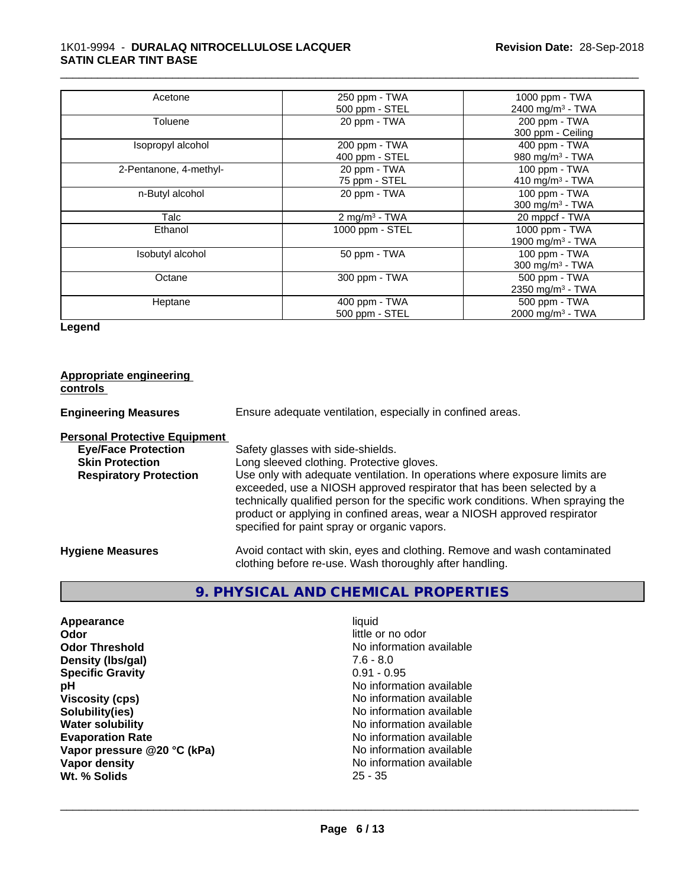| Acetone                | 250 ppm - TWA             | 1000 ppm - TWA               |
|------------------------|---------------------------|------------------------------|
|                        | 500 ppm - STEL            | 2400 mg/m <sup>3</sup> - TWA |
| Toluene                | 20 ppm - TWA              | 200 ppm - TWA                |
|                        |                           | 300 ppm - Ceiling            |
| Isopropyl alcohol      | 200 ppm - TWA             | 400 ppm - TWA                |
|                        | 400 ppm - STEL            | 980 mg/m <sup>3</sup> - TWA  |
| 2-Pentanone, 4-methyl- | 20 ppm - TWA              | 100 ppm - TWA                |
|                        | 75 ppm - STEL             | 410 mg/m <sup>3</sup> - TWA  |
| n-Butyl alcohol        | 20 ppm - TWA              | 100 ppm - TWA                |
|                        |                           | 300 mg/m <sup>3</sup> - TWA  |
| Talc                   | 2 mg/m <sup>3</sup> - TWA | 20 mppcf - TWA               |
| Ethanol                | 1000 ppm - STEL           | 1000 ppm - TWA               |
|                        |                           | 1900 mg/m <sup>3</sup> - TWA |
| Isobutyl alcohol       | 50 ppm - TWA              | 100 ppm - TWA                |
|                        |                           | 300 mg/m $3$ - TWA           |
| Octane                 | 300 ppm - TWA             | 500 ppm - TWA                |
|                        |                           | 2350 mg/m <sup>3</sup> - TWA |
| Heptane                | 400 ppm - TWA             | 500 ppm - TWA                |
|                        | 500 ppm - STEL            | 2000 mg/m <sup>3</sup> - TWA |

\_\_\_\_\_\_\_\_\_\_\_\_\_\_\_\_\_\_\_\_\_\_\_\_\_\_\_\_\_\_\_\_\_\_\_\_\_\_\_\_\_\_\_\_\_\_\_\_\_\_\_\_\_\_\_\_\_\_\_\_\_\_\_\_\_\_\_\_\_\_\_\_\_\_\_\_\_\_\_\_\_\_\_\_\_\_\_\_\_\_\_\_\_

**Legend**

| <b>Appropriate engineering</b><br>controls |                                                                                                                                                                                                                                                                                                                                                                     |
|--------------------------------------------|---------------------------------------------------------------------------------------------------------------------------------------------------------------------------------------------------------------------------------------------------------------------------------------------------------------------------------------------------------------------|
| <b>Engineering Measures</b>                | Ensure adequate ventilation, especially in confined areas.                                                                                                                                                                                                                                                                                                          |
| <b>Personal Protective Equipment</b>       |                                                                                                                                                                                                                                                                                                                                                                     |
| <b>Eye/Face Protection</b>                 | Safety glasses with side-shields.                                                                                                                                                                                                                                                                                                                                   |
| <b>Skin Protection</b>                     | Long sleeved clothing. Protective gloves.                                                                                                                                                                                                                                                                                                                           |
| <b>Respiratory Protection</b>              | Use only with adequate ventilation. In operations where exposure limits are<br>exceeded, use a NIOSH approved respirator that has been selected by a<br>technically qualified person for the specific work conditions. When spraying the<br>product or applying in confined areas, wear a NIOSH approved respirator<br>specified for paint spray or organic vapors. |
| <b>Hygiene Measures</b>                    | Avoid contact with skin, eyes and clothing. Remove and wash contaminated<br>clothing before re-use. Wash thoroughly after handling.                                                                                                                                                                                                                                 |

# **9. PHYSICAL AND CHEMICAL PROPERTIES**

**Appearance** liquid **and a set of the contract of the contract of the contract of the contract of the contract of the contract of the contract of the contract of the contract of the contract of the contract of the contract Odor**<br> **Odor Threshold**<br> **Odor Threshold**<br> **Odor Threshold**<br> **Odor Threshold Density (lbs/gal)** 7.6 - 8.0 **Specific Gravity pH**<br>
Viscosity (cps) <br>
Viscosity (cps) <br>
Viscosity (cps) <br>
Viscosity (cps) <br>
Viscosity (cps) <br>
Viscosity (cps) <br>
Viscosity (cps) <br>
Viscosity (cps) <br>
Viscosity (cps) <br>
Viscosity (cps) <br>
Viscosity (cps) <br>
Viscosity (cps) <br> **Viscosity (cps)** No information available<br> **Solubility (ies)** No information available<br>
No information available **Solubility(ies)**<br> **Solubility(ies)**<br> **Water solubility**<br> **Water solubility Evaporation Rate**<br> **Vapor pressure @20 °C (kPa)** No information available<br>
No information available **Vapor** pressure @20 °C (kPa) **Vapor density**<br> **We Solids**<br>
We Solids
25 - 35 Wt. % Solids

**No information available No information available**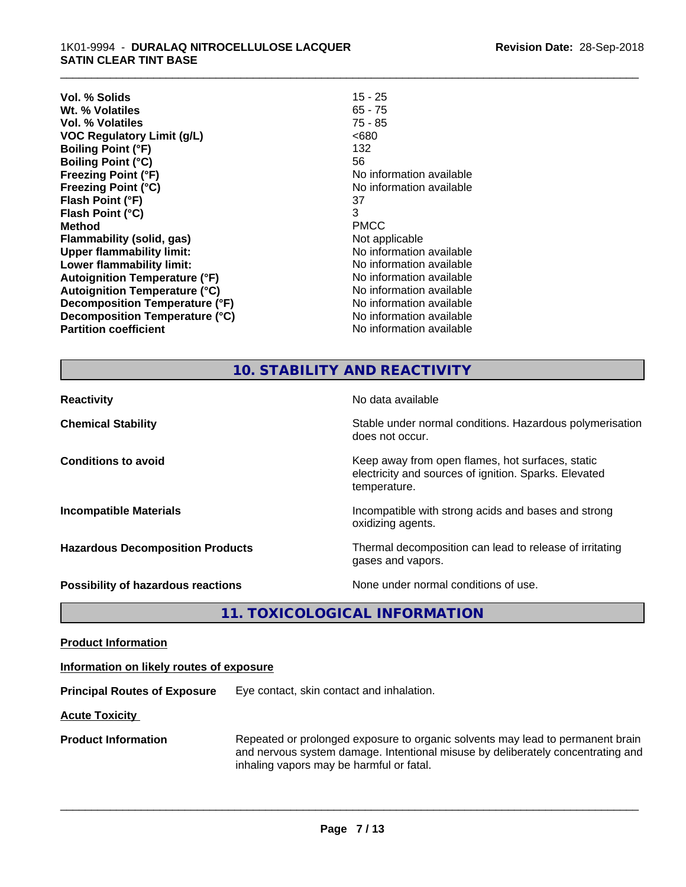| 15 - 25                  |
|--------------------------|
| $65 - 75$                |
| $75 - 85$                |
| <680                     |
| 132                      |
| 56                       |
| No information available |
| No information available |
| 37                       |
| 3                        |
| <b>PMCC</b>              |
| Not applicable           |
| No information available |
| No information available |
| No information available |
| No information available |
| No information available |
| No information available |
| No information available |
|                          |

\_\_\_\_\_\_\_\_\_\_\_\_\_\_\_\_\_\_\_\_\_\_\_\_\_\_\_\_\_\_\_\_\_\_\_\_\_\_\_\_\_\_\_\_\_\_\_\_\_\_\_\_\_\_\_\_\_\_\_\_\_\_\_\_\_\_\_\_\_\_\_\_\_\_\_\_\_\_\_\_\_\_\_\_\_\_\_\_\_\_\_\_\_

#### **10. STABILITY AND REACTIVITY**

| <b>Reactivity</b>                         | No data available                                                                                                         |
|-------------------------------------------|---------------------------------------------------------------------------------------------------------------------------|
| <b>Chemical Stability</b>                 | Stable under normal conditions. Hazardous polymerisation<br>does not occur.                                               |
| <b>Conditions to avoid</b>                | Keep away from open flames, hot surfaces, static<br>electricity and sources of ignition. Sparks. Elevated<br>temperature. |
| <b>Incompatible Materials</b>             | Incompatible with strong acids and bases and strong<br>oxidizing agents.                                                  |
| <b>Hazardous Decomposition Products</b>   | Thermal decomposition can lead to release of irritating<br>gases and vapors.                                              |
| <b>Possibility of hazardous reactions</b> | None under normal conditions of use.                                                                                      |

**11. TOXICOLOGICAL INFORMATION**

**Product Information**

#### **Information on likely routes of exposure**

**Principal Routes of Exposure** Eye contact, skin contact and inhalation.

**Acute Toxicity** 

**Product Information** Repeated or prolonged exposure to organic solvents may lead to permanent brain and nervous system damage. Intentional misuse by deliberately concentrating and inhaling vapors may be harmful or fatal.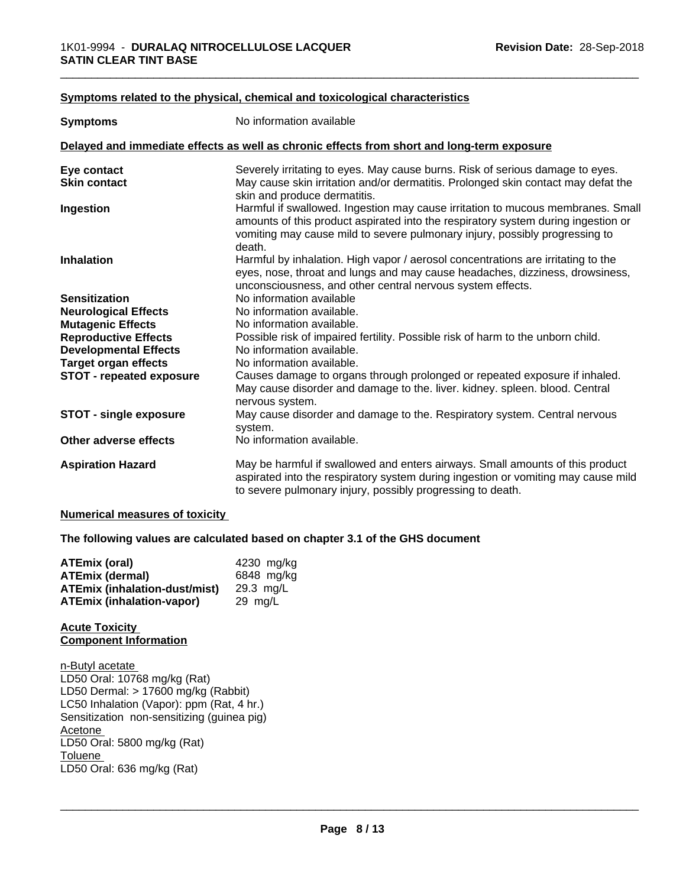#### **<u>Symptoms related to the physical, chemical and toxicological characteristics</u>**

| <b>Symptoms</b>                                                                            | No information available                                                                                                                                                                                                                                      |  |  |
|--------------------------------------------------------------------------------------------|---------------------------------------------------------------------------------------------------------------------------------------------------------------------------------------------------------------------------------------------------------------|--|--|
| Delayed and immediate effects as well as chronic effects from short and long-term exposure |                                                                                                                                                                                                                                                               |  |  |
| Eye contact                                                                                | Severely irritating to eyes. May cause burns. Risk of serious damage to eyes.                                                                                                                                                                                 |  |  |
| <b>Skin contact</b>                                                                        | May cause skin irritation and/or dermatitis. Prolonged skin contact may defat the<br>skin and produce dermatitis.                                                                                                                                             |  |  |
| Ingestion                                                                                  | Harmful if swallowed. Ingestion may cause irritation to mucous membranes. Small<br>amounts of this product aspirated into the respiratory system during ingestion or<br>vomiting may cause mild to severe pulmonary injury, possibly progressing to<br>death. |  |  |
| <b>Inhalation</b>                                                                          | Harmful by inhalation. High vapor / aerosol concentrations are irritating to the<br>eyes, nose, throat and lungs and may cause headaches, dizziness, drowsiness,<br>unconsciousness, and other central nervous system effects.                                |  |  |
| <b>Sensitization</b>                                                                       | No information available                                                                                                                                                                                                                                      |  |  |
| <b>Neurological Effects</b>                                                                | No information available.                                                                                                                                                                                                                                     |  |  |
| <b>Mutagenic Effects</b>                                                                   | No information available.                                                                                                                                                                                                                                     |  |  |
| <b>Reproductive Effects</b>                                                                | Possible risk of impaired fertility. Possible risk of harm to the unborn child.                                                                                                                                                                               |  |  |
| <b>Developmental Effects</b>                                                               | No information available.                                                                                                                                                                                                                                     |  |  |
| <b>Target organ effects</b>                                                                | No information available.                                                                                                                                                                                                                                     |  |  |
| <b>STOT - repeated exposure</b>                                                            | Causes damage to organs through prolonged or repeated exposure if inhaled.<br>May cause disorder and damage to the. liver. kidney. spleen. blood. Central<br>nervous system.                                                                                  |  |  |
| <b>STOT - single exposure</b>                                                              | May cause disorder and damage to the. Respiratory system. Central nervous<br>system.                                                                                                                                                                          |  |  |
| Other adverse effects                                                                      | No information available.                                                                                                                                                                                                                                     |  |  |
| <b>Aspiration Hazard</b>                                                                   | May be harmful if swallowed and enters airways. Small amounts of this product<br>aspirated into the respiratory system during ingestion or vomiting may cause mild<br>to severe pulmonary injury, possibly progressing to death.                              |  |  |

#### **Numerical measures of toxicity**

**The following values are calculated based on chapter 3.1 of the GHS document**

| ATEmix (oral)                        | 4230 mg/ka |
|--------------------------------------|------------|
| <b>ATEmix (dermal)</b>               | 6848 mg/kg |
| <b>ATEmix (inhalation-dust/mist)</b> | 29.3 ma/L  |
| <b>ATEmix (inhalation-vapor)</b>     | 29 ma/L    |

#### **Acute Toxicity Component Information**

n-Butyl acetate LD50 Oral: 10768 mg/kg (Rat) LD50 Dermal: > 17600 mg/kg (Rabbit) LC50 Inhalation (Vapor): ppm (Rat, 4 hr.) Sensitization non-sensitizing (guinea pig) Acetone LD50 Oral: 5800 mg/kg (Rat) Toluene \_\_\_\_\_\_\_\_\_\_\_\_\_\_\_\_\_\_\_\_\_\_\_\_\_\_\_\_\_\_\_\_\_\_\_\_\_\_\_\_\_\_\_\_\_\_\_\_\_\_\_\_\_\_\_\_\_\_\_\_\_\_\_\_\_\_\_\_\_\_\_\_\_\_\_\_\_\_\_\_\_\_\_\_\_\_\_\_\_\_\_\_\_ LD50 Oral: 636 mg/kg (Rat)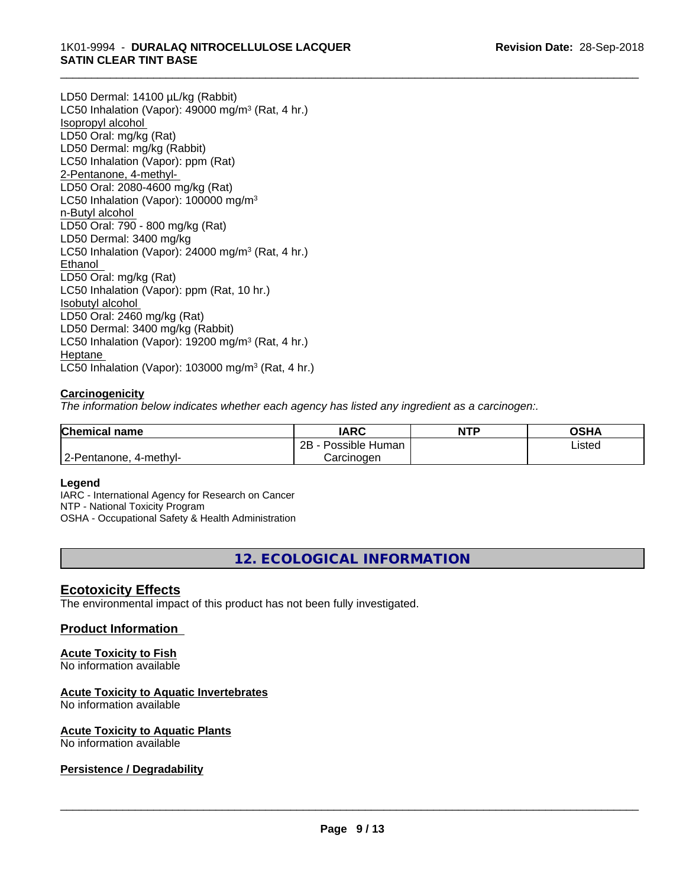LD50 Dermal: 14100 µL/kg (Rabbit) LC50 Inhalation (Vapor): 49000 mg/m<sup>3</sup> (Rat, 4 hr.) Isopropyl alcohol LD50 Oral: mg/kg (Rat) LD50 Dermal: mg/kg (Rabbit) LC50 Inhalation (Vapor): ppm (Rat) 2-Pentanone, 4-methyl-LD50 Oral: 2080-4600 mg/kg (Rat) LC50 Inhalation (Vapor): 100000 mg/m<sup>3</sup> n-Butyl alcohol LD50 Oral: 790 - 800 mg/kg (Rat) LD50 Dermal: 3400 mg/kg LC50 Inhalation (Vapor): 24000 mg/m<sup>3</sup> (Rat, 4 hr.) Ethanol LD50 Oral: mg/kg (Rat) LC50 Inhalation (Vapor): ppm (Rat, 10 hr.) Isobutyl alcohol LD50 Oral: 2460 mg/kg (Rat) LD50 Dermal: 3400 mg/kg (Rabbit) LC50 Inhalation (Vapor): 19200 mg/m<sup>3</sup> (Rat, 4 hr.) Heptane LC50 Inhalation (Vapor): 103000 mg/m<sup>3</sup> (Rat, 4 hr.)

#### **Carcinogenicity**

*The information below indicateswhether each agency has listed any ingredient as a carcinogen:.*

| <b>Chemical name</b>        | <b>IARC</b>          | <b>NTP</b> | OSHA   |
|-----------------------------|----------------------|------------|--------|
|                             | Possible Human<br>2B |            | Listed |
| 2-Pentanone,<br>, 4-methyl- | Carcinogen           |            |        |

#### **Legend**

IARC - International Agency for Research on Cancer NTP - National Toxicity Program OSHA - Occupational Safety & Health Administration

**12. ECOLOGICAL INFORMATION**

#### **Ecotoxicity Effects**

The environmental impact of this product has not been fully investigated.

#### **Product Information**

#### **Acute Toxicity to Fish**

No information available

#### **Acute Toxicity to Aquatic Invertebrates**

No information available

#### **Acute Toxicity to Aquatic Plants**

No information available

#### **Persistence / Degradability**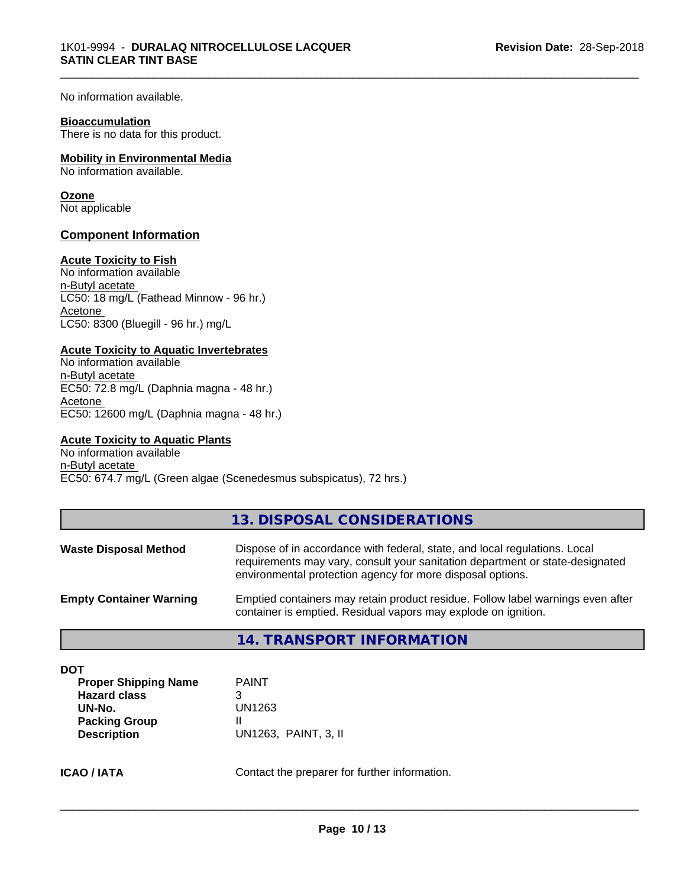No information available.

#### **Bioaccumulation**

There is no data for this product.

#### **Mobility in Environmental Media**

No information available.

#### **Ozone**

Not applicable

#### **Component Information**

#### **Acute Toxicity to Fish**

No information available n-Butyl acetate LC50: 18 mg/L (Fathead Minnow - 96 hr.) Acetone LC50: 8300 (Bluegill - 96 hr.) mg/L

#### **Acute Toxicity to Aquatic Invertebrates**

No information available n-Butyl acetate EC50: 72.8 mg/L (Daphnia magna - 48 hr.) Acetone EC50: 12600 mg/L (Daphnia magna - 48 hr.)

#### **Acute Toxicity to Aquatic Plants**

No information available n-Butyl acetate EC50: 674.7 mg/L (Green algae (Scenedesmus subspicatus), 72 hrs.)

|--|

| <b>Waste Disposal Method</b>   | Dispose of in accordance with federal, state, and local regulations. Local<br>requirements may vary, consult your sanitation department or state-designated<br>environmental protection agency for more disposal options. |
|--------------------------------|---------------------------------------------------------------------------------------------------------------------------------------------------------------------------------------------------------------------------|
| <b>Empty Container Warning</b> | Emptied containers may retain product residue. Follow label warnings even after<br>container is emptied. Residual vapors may explode on ignition.                                                                         |

**14. TRANSPORT INFORMATION**

| <b>Proper Shipping Name</b> | <b>PAINT</b>         |
|-----------------------------|----------------------|
| <b>Hazard class</b>         |                      |
| UN-No.                      | UN1263               |
| <b>Packing Group</b>        |                      |
| <b>Description</b>          | UN1263, PAINT, 3, II |

**ICAO / IATA** Contact the preparer for further information.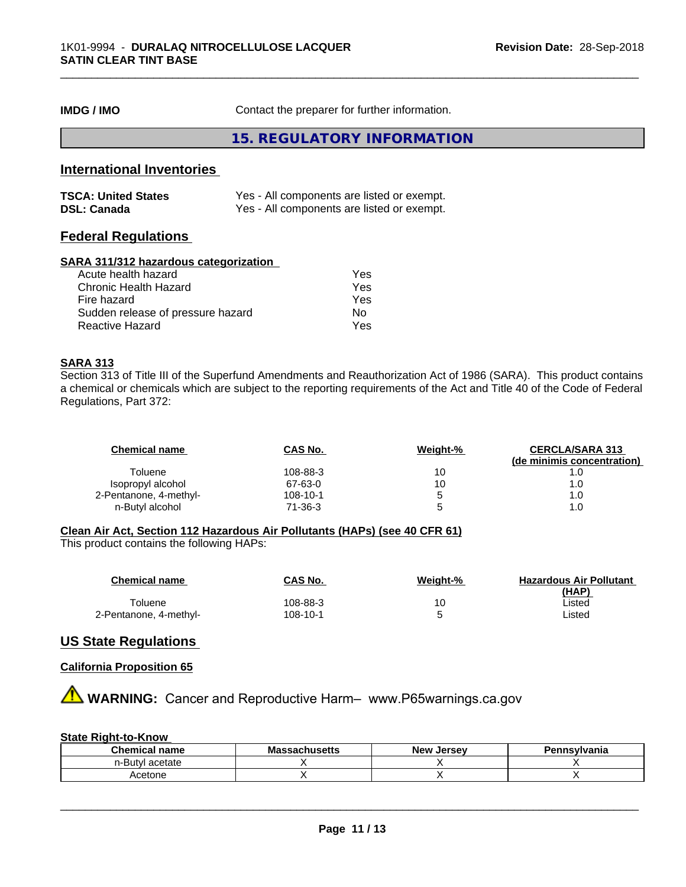**IMDG / IMO** Contact the preparer for further information.

**15. REGULATORY INFORMATION**

#### **International Inventories**

| <b>TSCA: United States</b> | Yes - All components are listed or exempt. |
|----------------------------|--------------------------------------------|
| <b>DSL: Canada</b>         | Yes - All components are listed or exempt. |

## **Federal Regulations**

#### **SARA 311/312 hazardous categorization**

| Acute health hazard               | Yes |
|-----------------------------------|-----|
| Chronic Health Hazard             | Yes |
| Fire hazard                       | Yes |
| Sudden release of pressure hazard | Nο  |
| Reactive Hazard                   | Yes |

#### **SARA 313**

Section 313 of Title III of the Superfund Amendments and Reauthorization Act of 1986 (SARA). This product contains a chemical or chemicals which are subject to the reporting requirements of the Act and Title 40 of the Code of Federal Regulations, Part 372:

| <b>Chemical name</b>   | CAS No.  | Weight-% | <b>CERCLA/SARA 313</b><br>(de minimis concentration) |
|------------------------|----------|----------|------------------------------------------------------|
| Toluene                | 108-88-3 | 10       |                                                      |
| Isopropyl alcohol      | 67-63-0  | 10       | 1.0                                                  |
| 2-Pentanone, 4-methyl- | 108-10-1 | ∽        | 1.0                                                  |
| n-Butyl alcohol        | 71-36-3  | ∽        |                                                      |

#### **Clean Air Act,Section 112 Hazardous Air Pollutants (HAPs) (see 40 CFR 61)**

This product contains the following HAPs:

| Chemical name          | CAS No.  | Weight-% | <b>Hazardous Air Pollutant</b> |
|------------------------|----------|----------|--------------------------------|
| Toluene                | 108-88-3 | 10       | (HAP)<br>∟isted                |
| 2-Pentanone, 4-methyl- | 108-10-1 |          | Listed                         |

## **US State Regulations**

#### **California Proposition 65**

**AVIMARNING:** Cancer and Reproductive Harm– www.P65warnings.ca.gov

#### **State Right-to-Know**

| $$ ner $-$<br>name                     | --<br><b>IVIC</b><br>uscus | <b>Jerse</b> y<br><b>Nev</b><br>æ | 111777<br>'anıa |
|----------------------------------------|----------------------------|-----------------------------------|-----------------|
| $\sim$<br>n-But<br>771<br>aц.<br>σιαιτ |                            |                                   |                 |
| ≘etone                                 |                            |                                   |                 |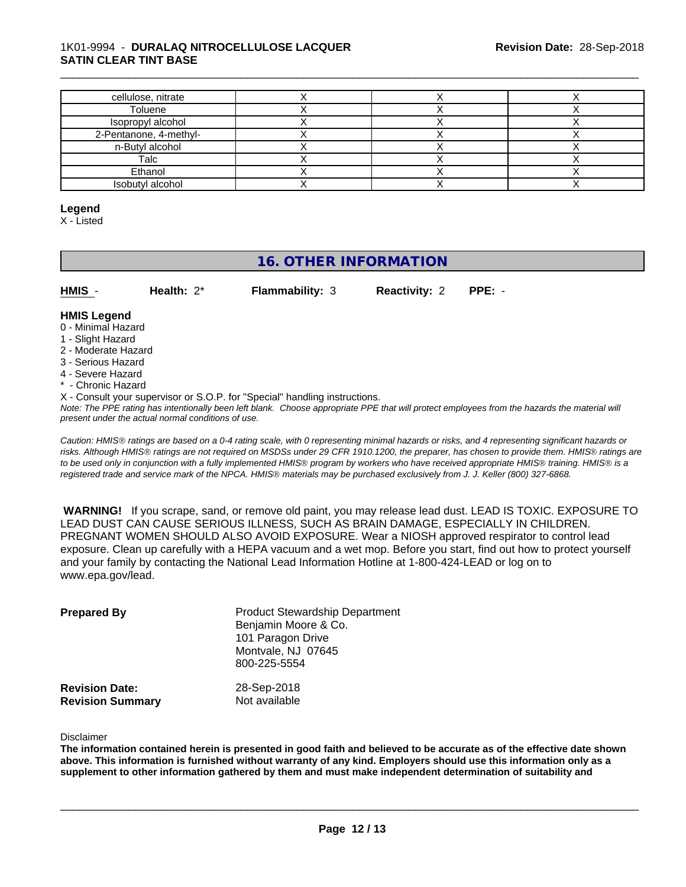#### 1K01-9994 - **DURALAQ NITROCELLULOSE LACQUER SATIN CLEAR TINT BASE**

| cellulose, nitrate                          |  |  |
|---------------------------------------------|--|--|
| Toluene                                     |  |  |
|                                             |  |  |
| Isopropyl alcohol<br>2-Pentanone, 4-methyl- |  |  |
| n-Butyl alcohol                             |  |  |
| Talc                                        |  |  |
| Ethanol                                     |  |  |
| Isobutyl alcohol                            |  |  |

\_\_\_\_\_\_\_\_\_\_\_\_\_\_\_\_\_\_\_\_\_\_\_\_\_\_\_\_\_\_\_\_\_\_\_\_\_\_\_\_\_\_\_\_\_\_\_\_\_\_\_\_\_\_\_\_\_\_\_\_\_\_\_\_\_\_\_\_\_\_\_\_\_\_\_\_\_\_\_\_\_\_\_\_\_\_\_\_\_\_\_\_\_

#### **Legend**

X - Listed

# **16. OTHER INFORMATION**

| HMIS | Health: $2^*$ | <b>Flammability: 3</b> | <b>Reactivity: 2 PPE: -</b> |  |
|------|---------------|------------------------|-----------------------------|--|
|      |               |                        |                             |  |

#### **HMIS Legend**

- 0 Minimal Hazard
- 1 Slight Hazard
- 2 Moderate Hazard
- 3 Serious Hazard
- 4 Severe Hazard
- Chronic Hazard
- X Consult your supervisor or S.O.P. for "Special" handling instructions.

*Note: The PPE rating has intentionally been left blank. Choose appropriate PPE that will protect employees from the hazards the material will present under the actual normal conditions of use.*

*Caution: HMISÒ ratings are based on a 0-4 rating scale, with 0 representing minimal hazards or risks, and 4 representing significant hazards or risks. Although HMISÒ ratings are not required on MSDSs under 29 CFR 1910.1200, the preparer, has chosen to provide them. HMISÒ ratings are to be used only in conjunction with a fully implemented HMISÒ program by workers who have received appropriate HMISÒ training. HMISÒ is a registered trade and service mark of the NPCA. HMISÒ materials may be purchased exclusively from J. J. Keller (800) 327-6868.*

 **WARNING!** If you scrape, sand, or remove old paint, you may release lead dust. LEAD IS TOXIC. EXPOSURE TO LEAD DUST CAN CAUSE SERIOUS ILLNESS, SUCH AS BRAIN DAMAGE, ESPECIALLY IN CHILDREN. PREGNANT WOMEN SHOULD ALSO AVOID EXPOSURE.Wear a NIOSH approved respirator to control lead exposure. Clean up carefully with a HEPA vacuum and a wet mop. Before you start, find out how to protect yourself and your family by contacting the National Lead Information Hotline at 1-800-424-LEAD or log on to www.epa.gov/lead.

| <b>Prepared By</b>                               | <b>Product Stewardship Department</b><br>Benjamin Moore & Co.<br>101 Paragon Drive<br>Montvale, NJ 07645<br>800-225-5554 |  |
|--------------------------------------------------|--------------------------------------------------------------------------------------------------------------------------|--|
| <b>Revision Date:</b><br><b>Revision Summary</b> | 28-Sep-2018<br>Not available                                                                                             |  |

Disclaimer

The information contained herein is presented in good faith and believed to be accurate as of the effective date shown above. This information is furnished without warranty of any kind. Employers should use this information only as a **supplement to other information gathered by them and must make independent determination of suitability and**